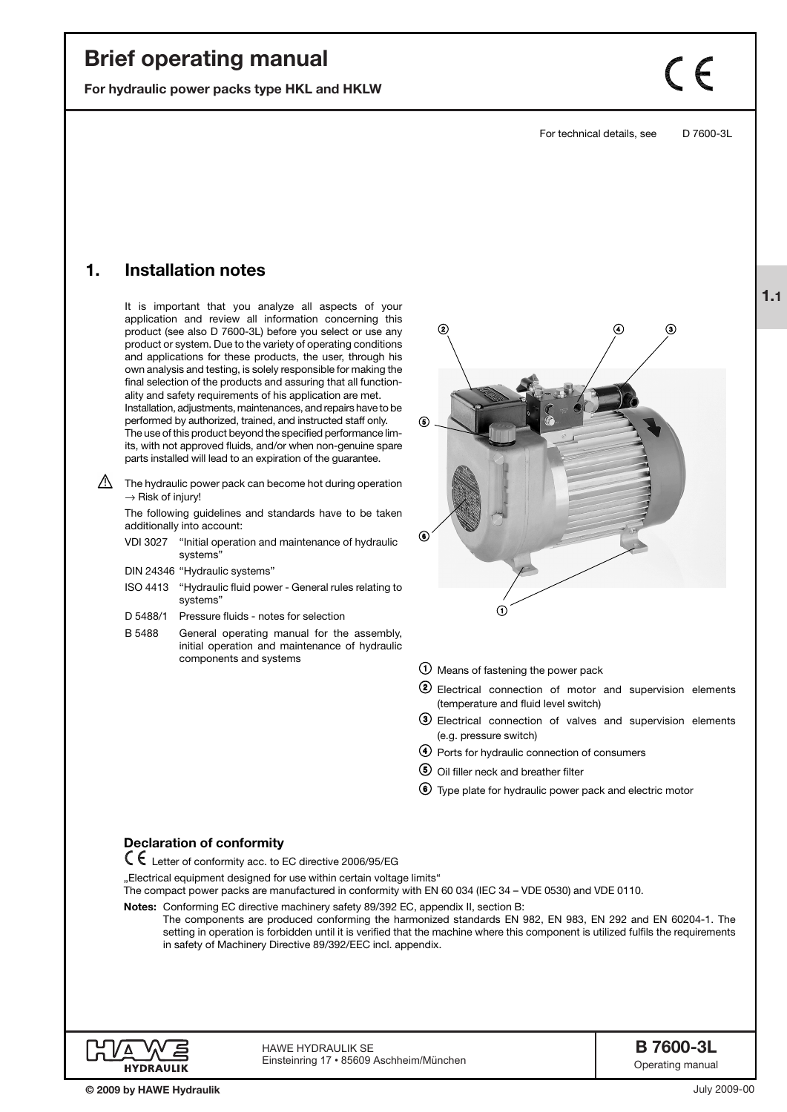# **Brief operating manual**

**For hydraulic power packs type HKL and HKLW**

#### For technical details, see D 7600-3L

 $\zeta$ 

# **1.1**

# **1. Installation notes**

It is important that you analyze all aspects of your application and review all information concerning this product (see also D 7600-3L) before you select or use any product or system. Due to the variety of operating conditions and applications for these products, the user, through his own analysis and testing, is solely responsible for making the final selection of the products and assuring that all functionality and safety requirements of his application are met. Installation, adjustments, maintenances, and repairs have to be performed by authorized, trained, and instructed staff only. The use of this product beyond the specified performance limits, with not approved fluids, and/or when non-genuine spare parts installed will lead to an expiration of the guarantee.

 $\triangle$  The hydraulic power pack can become hot during operation  $\rightarrow$  Risk of injury!

The following guidelines and standards have to be taken additionally into account:

- VDI 3027 "Initial operation and maintenance of hydraulic systems"
- DIN 24346 "Hydraulic systems"
- ISO 4413 "Hydraulic fluid power General rules relating to systems"
- D 5488/1 Pressure fluids notes for selection
- B 5488 General operating manual for the assembly, initial operation and maintenance of hydraulic components and systems



- $\bigcirc$  Means of fastening the power pack
- 2 Electrical connection of motor and supervision elements (temperature and fluid level switch)
- <sup>3</sup> Electrical connection of valves and supervision elements (e.g. pressure switch)
- > Ports for hydraulic connection of consumers
- **(5)** Oil filler neck and breather filter
- @ Type plate for hydraulic power pack and electric motor

# **Declaration of conformity**

Letter of conformity acc. to EC directive 2006/95/EG

"Electrical equipment designed for use within certain voltage limits"

The compact power packs are manufactured in conformity with EN 60 034 (IEC 34 – VDE 0530) and VDE 0110.

**Notes:** Conforming EC directive machinery safety 89/392 EC, appendix II, section B:

The components are produced conforming the harmonized standards EN 982, EN 983, EN 292 and EN 60204-1. The setting in operation is forbidden until it is verified that the machine where this component is utilized fulfils the requirements in safety of Machinery Directive 89/392/EEC incl. appendix.



HAWE HYDRAULIK SE Einsteinring 17 • 85609 Aschheim/München **B 7600-3L**

Operating manual

July 2009-00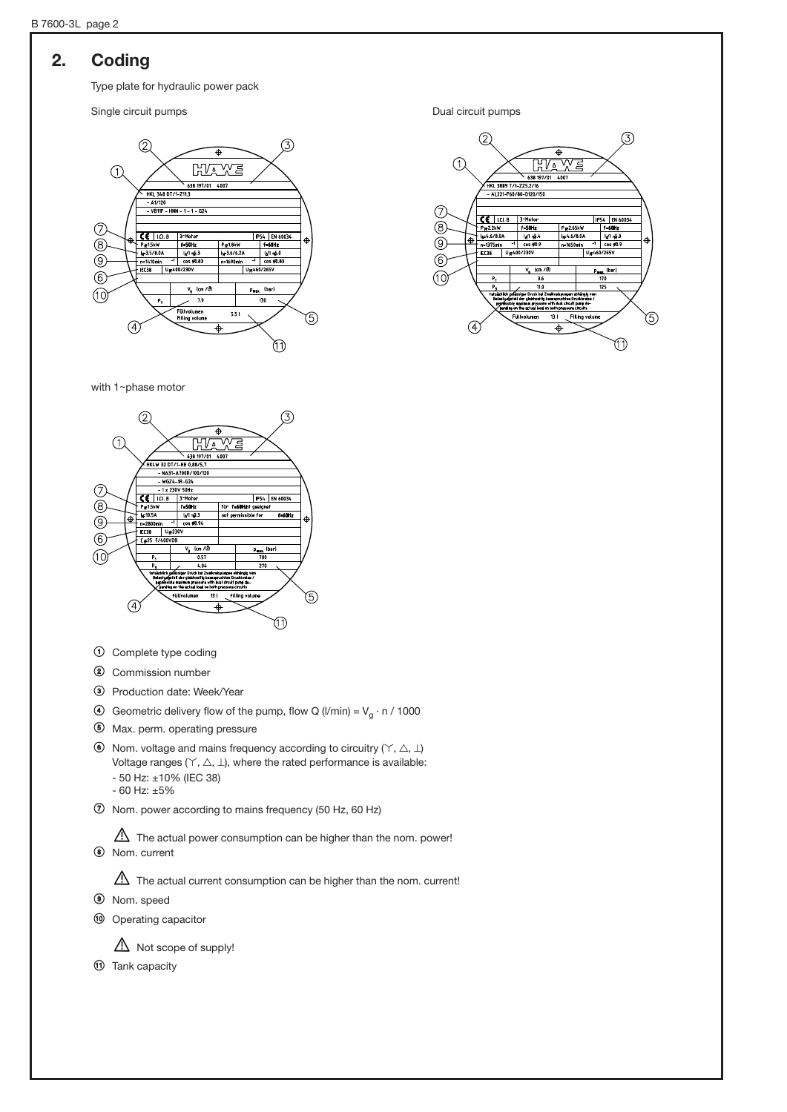# **2. Coding**

Type plate for hydraulic power pack



Single circuit pumps **Dual circuit pumps** Dual circuit pumps



with 1~phase motor



 $\circled{1}$  Complete type coding

<sup>2</sup> Commission number

- <sup>3</sup> Production date: Week/Year
- $\circled{4}$  Geometric delivery flow of the pump, flow Q (l/min) = V<sub>a</sub> · n / 1000
- ? Max. perm. operating pressure
- $\bullet$  Nom. voltage and mains frequency according to circuitry ( $\land$ ,  $\land$ ,  $\bot$ ) Voltage ranges  $(\curlyvee, \triangle, \bot)$ , where the rated performance is available: - 50 Hz: ±10% (IEC 38)  $-60$  Hz:  $\pm 5%$
- A Nom. power according to mains frequency (50 Hz, 60 Hz)

 $\bigwedge$  The actual power consumption can be higher than the nom. power! B Nom. current

 $\triangle$  The actual current consumption can be higher than the nom. current!

C Nom. speed

D Operating capacitor

 $\triangle$  Not scope of supply!

 $<sup>①</sup>$  Tank capacity</sup>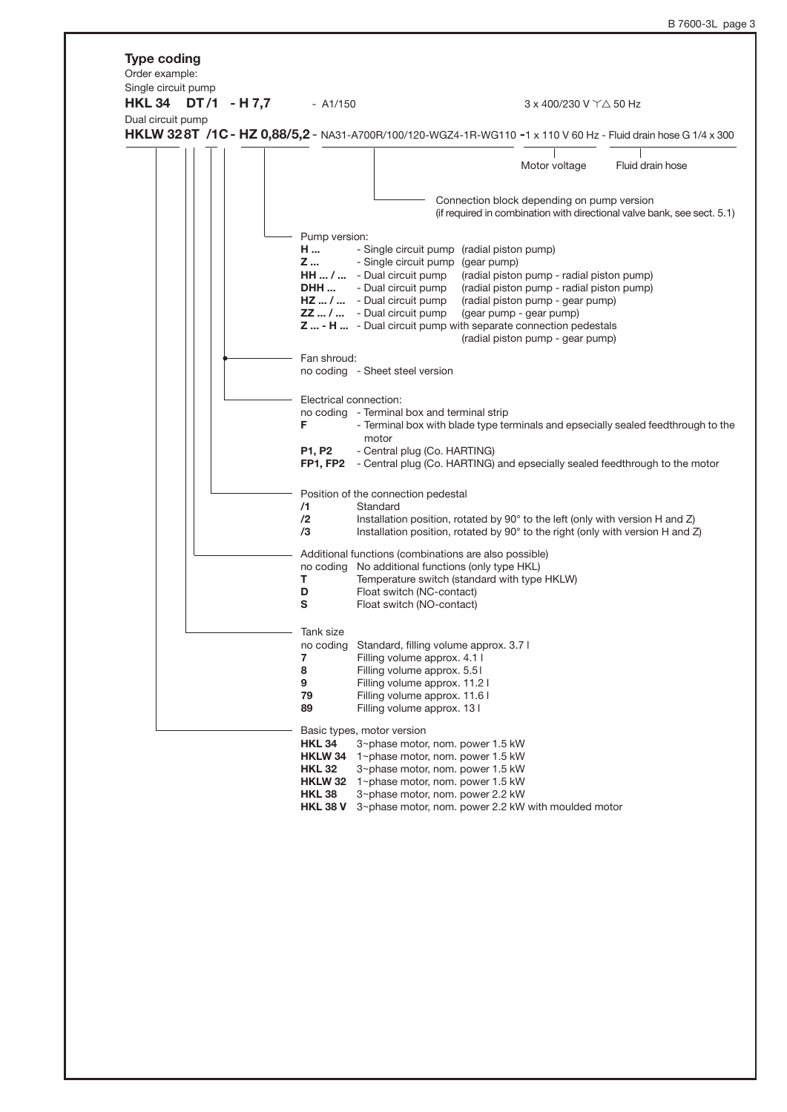|                   | HKL 34 DT/1 - H 7,7 | - A1/150                                                                            |                                                                                                                                                                                                                | 3 x 400/230 V $\angle$ 50 Hz                                                                                                                                                                                                                                                                                    |                                                                                                                |
|-------------------|---------------------|-------------------------------------------------------------------------------------|----------------------------------------------------------------------------------------------------------------------------------------------------------------------------------------------------------------|-----------------------------------------------------------------------------------------------------------------------------------------------------------------------------------------------------------------------------------------------------------------------------------------------------------------|----------------------------------------------------------------------------------------------------------------|
| Dual circuit pump |                     |                                                                                     |                                                                                                                                                                                                                |                                                                                                                                                                                                                                                                                                                 | HKLW 328T /1C - HZ 0,88/5,2 - NA31-A700R/100/120-WGZ4-1R-WG110 -1 x 110 V 60 Hz - Fluid drain hose G 1/4 x 300 |
|                   |                     |                                                                                     |                                                                                                                                                                                                                | Motor voltage                                                                                                                                                                                                                                                                                                   | Fluid drain hose                                                                                               |
|                   |                     |                                                                                     |                                                                                                                                                                                                                | Connection block depending on pump version                                                                                                                                                                                                                                                                      | (if required in combination with directional valve bank, see sect. 5.1)                                        |
|                   |                     | Pump version:<br>H<br>Z<br>DHH                                                      | - Single circuit pump (gear pump)<br>HH  /  - Dual circuit pump<br>- Dual circuit pump<br>HZ  /  - Dual circuit pump<br>$ZZ$ $/$ - Dual circuit pump                                                           | - Single circuit pump (radial piston pump)<br>(radial piston pump - radial piston pump)<br>(radial piston pump - radial piston pump)<br>(radial piston pump - gear pump)<br>(gear pump - gear pump)<br><b>Z</b> - H  - Dual circuit pump with separate connection pedestals<br>(radial piston pump - gear pump) |                                                                                                                |
|                   |                     | Fan shroud:                                                                         | no coding - Sheet steel version                                                                                                                                                                                |                                                                                                                                                                                                                                                                                                                 |                                                                                                                |
|                   |                     | F<br>P1, P2                                                                         | Electrical connection:<br>no coding - Terminal box and terminal strip<br>motor<br>- Central plug (Co. HARTING)                                                                                                 | FP1, FP2 - Central plug (Co. HARTING) and epsecially sealed feedthrough to the motor                                                                                                                                                                                                                            | - Terminal box with blade type terminals and epsecially sealed feedthrough to the                              |
|                   |                     | /1<br>/2<br>/3                                                                      | Position of the connection pedestal<br>Standard                                                                                                                                                                | Installation position, rotated by 90° to the left (only with version H and Z)<br>Installation position, rotated by 90° to the right (only with version H and Z)                                                                                                                                                 |                                                                                                                |
|                   |                     | т<br>D<br>s                                                                         | no coding No additional functions (only type HKL)<br>Float switch (NC-contact)<br>Float switch (NO-contact)                                                                                                    | Additional functions (combinations are also possible)<br>Temperature switch (standard with type HKLW)                                                                                                                                                                                                           |                                                                                                                |
|                   |                     | Tank size<br>no coding<br>$\overline{7}$<br>8<br>9<br>79<br>89                      | Standard, filling volume approx. 3.7 I<br>Filling volume approx. 4.1 l<br>Filling volume approx. 5.51<br>Filling volume approx. 11.2 l<br>Filling volume approx. 11.6 l<br>Filling volume approx. 13 l         |                                                                                                                                                                                                                                                                                                                 |                                                                                                                |
|                   |                     | <b>HKL 34</b><br><b>HKLW 34</b><br><b>HKL 32</b><br><b>HKLW 32</b><br><b>HKL 38</b> | Basic types, motor version<br>3~phase motor, nom. power 1.5 kW<br>1~phase motor, nom. power 1.5 kW<br>3~phase motor, nom. power 1.5 kW<br>1~phase motor, nom. power 1.5 kW<br>3~phase motor, nom. power 2.2 kW |                                                                                                                                                                                                                                                                                                                 |                                                                                                                |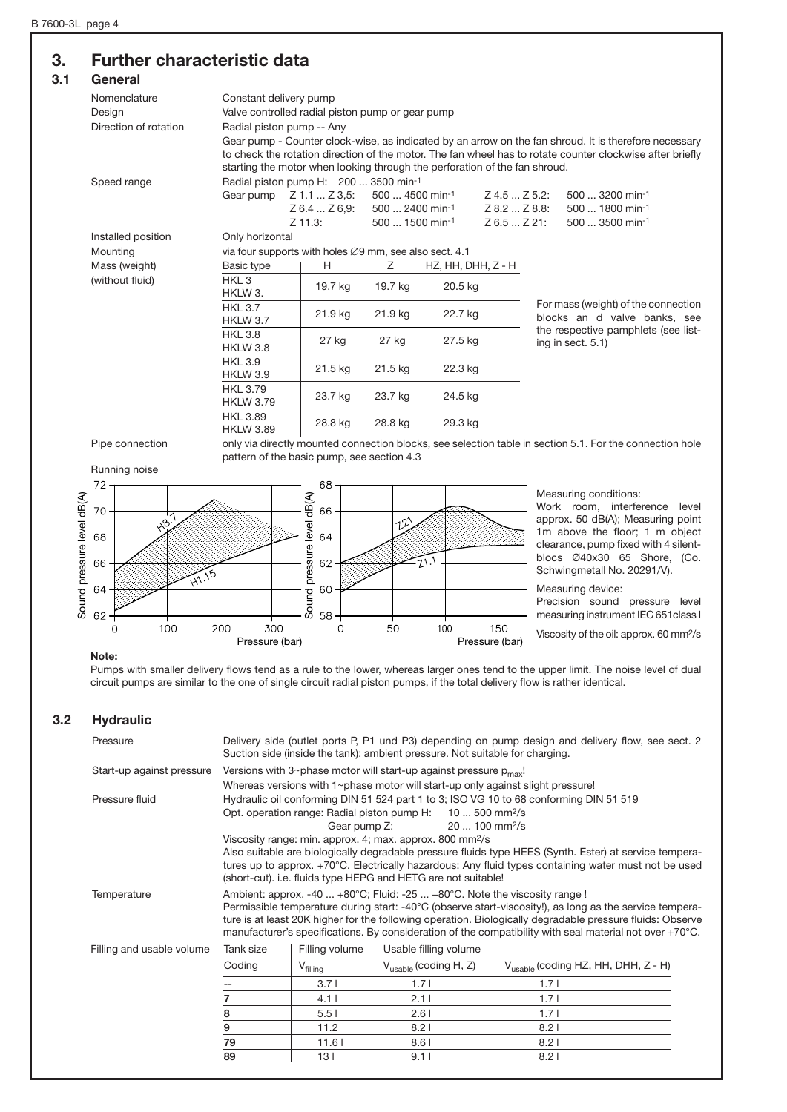# **3. Further characteristic data**

# **3.1 General**

| ueneral               |                                                                            |         |         |                                                                                           |                      |                                                      |                                                                                                                                 |                                                                                                                                                                                                                    |
|-----------------------|----------------------------------------------------------------------------|---------|---------|-------------------------------------------------------------------------------------------|----------------------|------------------------------------------------------|---------------------------------------------------------------------------------------------------------------------------------|--------------------------------------------------------------------------------------------------------------------------------------------------------------------------------------------------------------------|
| Nomenclature          | Constant delivery pump                                                     |         |         |                                                                                           |                      |                                                      |                                                                                                                                 |                                                                                                                                                                                                                    |
| Design                | Valve controlled radial piston pump or gear pump                           |         |         |                                                                                           |                      |                                                      |                                                                                                                                 |                                                                                                                                                                                                                    |
| Direction of rotation | Radial piston pump -- Any                                                  |         |         |                                                                                           |                      |                                                      |                                                                                                                                 |                                                                                                                                                                                                                    |
|                       | starting the motor when looking through the perforation of the fan shroud. |         |         |                                                                                           |                      |                                                      |                                                                                                                                 | Gear pump - Counter clock-wise, as indicated by an arrow on the fan shroud. It is therefore necessary<br>to check the rotation direction of the motor. The fan wheel has to rotate counter clockwise after briefly |
| Speed range           | Radial piston pump H: 200  3500 min-1                                      |         |         |                                                                                           |                      |                                                      |                                                                                                                                 |                                                                                                                                                                                                                    |
|                       | Gear pump<br>$Z$ 1.1 $Z$ 3.5:<br>$Z$ 6.4 $\dots$ Z 6.9:<br>$Z$ 11.3:       |         |         | $5004500$ min <sup>-1</sup><br>$5002400$ min <sup>-1</sup><br>$5001500$ min <sup>-1</sup> |                      | $Z$ 4.5 $Z$ 5.2:<br>$Z$ 8.2 $Z$ 8.8:<br>Z 6.5  Z 21: |                                                                                                                                 | $5003200$ min <sup>-1</sup><br>$5001800$ min <sup>-1</sup><br>$5003500$ min <sup>-1</sup>                                                                                                                          |
| Installed position    | Only horizontal                                                            |         |         |                                                                                           |                      |                                                      |                                                                                                                                 |                                                                                                                                                                                                                    |
| Mounting              | via four supports with holes Ø9 mm, see also sect. 4.1                     |         |         |                                                                                           |                      |                                                      |                                                                                                                                 |                                                                                                                                                                                                                    |
| Mass (weight)         | Basic type                                                                 | н       | Ζ       |                                                                                           | $HZ, HH, DHH, Z - H$ |                                                      |                                                                                                                                 |                                                                                                                                                                                                                    |
| (without fluid)       | HKL <sub>3</sub><br>HKLW 3.                                                | 19.7 kg | 19.7 kg |                                                                                           | 20.5 kg              |                                                      | For mass (weight) of the connection<br>blocks an d valve banks, see<br>the respective pamphlets (see list-<br>ing in sect. 5.1) |                                                                                                                                                                                                                    |
|                       | <b>HKL 3.7</b><br><b>HKLW 3.7</b>                                          | 21.9 kg | 21.9 kg |                                                                                           | 22.7 kg              |                                                      |                                                                                                                                 |                                                                                                                                                                                                                    |
|                       | <b>HKL 3.8</b><br><b>HKLW 3.8</b>                                          | 27 kg   | 27 kg   |                                                                                           | 27.5 kg              |                                                      |                                                                                                                                 |                                                                                                                                                                                                                    |
|                       | <b>HKL 3.9</b><br><b>HKLW 3.9</b>                                          | 21.5 kg | 21.5 kg |                                                                                           | 22.3 kg              |                                                      |                                                                                                                                 |                                                                                                                                                                                                                    |
|                       | <b>HKL 3.79</b><br><b>HKLW 3.79</b>                                        | 23.7 kg | 23.7 kg |                                                                                           | 24.5 kg              |                                                      |                                                                                                                                 |                                                                                                                                                                                                                    |
|                       | <b>HKL 3.89</b><br><b>HKLW 3.89</b>                                        | 28.8 kg | 28.8 kg |                                                                                           | 29.3 kg              |                                                      |                                                                                                                                 |                                                                                                                                                                                                                    |
| Pipe connection       |                                                                            |         |         |                                                                                           |                      |                                                      |                                                                                                                                 | only via directly mounted connection blocks, see selection table in section 5.1. For the connection hole                                                                                                           |
|                       | pattern of the basic pump, see section 4.3                                 |         |         |                                                                                           |                      |                                                      |                                                                                                                                 |                                                                                                                                                                                                                    |
| Running noise         |                                                                            |         |         |                                                                                           |                      |                                                      |                                                                                                                                 |                                                                                                                                                                                                                    |
| 72<br>ব               |                                                                            | 68<br>ବ |         |                                                                                           |                      |                                                      |                                                                                                                                 | Measuring conditions:                                                                                                                                                                                              |



dB<sub>(</sub>

66

Work room, interference level approx. 50 dB(A); Measuring point 1m above the floor; 1 m object clearance, pump fixed with 4 silentblocs Ø40x30 65 Shore, (Co. Schwingmetall No. 20291/V).

Measuring device: Precision sound pressure level measuring instrument IEC 651class I

Viscosity of the oil: approx. 60 mm2/s

Pumps with smaller delivery flows tend as a rule to the lower, whereas larger ones tend to the upper limit. The noise level of dual circuit pumps are similar to the one of single circuit radial piston pumps, if the total delivery flow is rather identical.

12'

## **3.2 Hydraulic**

70

9د.

| Pressure                  | Delivery side (outlet ports P, P1 und P3) depending on pump design and delivery flow, see sect. 2<br>Suction side (inside the tank): ambient pressure. Not suitable for charging.                                                                                                                                                                                                                                                                                                                                                                                         |                      |                                   |                                                 |  |  |  |
|---------------------------|---------------------------------------------------------------------------------------------------------------------------------------------------------------------------------------------------------------------------------------------------------------------------------------------------------------------------------------------------------------------------------------------------------------------------------------------------------------------------------------------------------------------------------------------------------------------------|----------------------|-----------------------------------|-------------------------------------------------|--|--|--|
| Start-up against pressure | Versions with 3~phase motor will start-up against pressure $p_{max}!$<br>Whereas versions with $1$ ~phase motor will start-up only against slight pressure!                                                                                                                                                                                                                                                                                                                                                                                                               |                      |                                   |                                                 |  |  |  |
| Pressure fluid            | Hydraulic oil conforming DIN 51 524 part 1 to 3; ISO VG 10 to 68 conforming DIN 51 519<br>Opt. operation range: Radial piston pump H: 10  500 mm <sup>2</sup> /s<br>$20100$ mm <sup>2</sup> /s<br>Gear pump Z:<br>Viscosity range: min. approx. 4; max. approx. 800 mm <sup>2</sup> /s<br>Also suitable are biologically degradable pressure fluids type HEES (Synth. Ester) at service tempera-<br>tures up to approx. +70°C. Electrically hazardous: Any fluid types containing water must not be used<br>(short-cut). i.e. fluids type HEPG and HETG are not suitable! |                      |                                   |                                                 |  |  |  |
| Temperature               | Ambient: approx. -40 $\dots$ +80°C; Fluid: -25 $\dots$ +80°C. Note the viscosity range !<br>Permissible temperature during start: -40°C (observe start-viscosity!), as long as the service tempera-<br>ture is at least 20K higher for the following operation. Biologically degradable pressure fluids: Observe<br>manufacturer's specifications. By consideration of the compatibility with seal material not over $+70^{\circ}$ C.                                                                                                                                     |                      |                                   |                                                 |  |  |  |
| Filling and usable volume | Tank size                                                                                                                                                                                                                                                                                                                                                                                                                                                                                                                                                                 | Filling volume       | Usable filling volume             |                                                 |  |  |  |
|                           | Coding                                                                                                                                                                                                                                                                                                                                                                                                                                                                                                                                                                    | V <sub>filling</sub> | $V_{\text{usable}}$ (coding H, Z) | V <sub>usable</sub> (coding HZ, HH, DHH, Z - H) |  |  |  |
|                           |                                                                                                                                                                                                                                                                                                                                                                                                                                                                                                                                                                           | 3.71                 | 1.7 <sub>1</sub>                  | 1.71                                            |  |  |  |
|                           | 7                                                                                                                                                                                                                                                                                                                                                                                                                                                                                                                                                                         | 4.11                 | 2.11                              | 1.71                                            |  |  |  |
|                           | 8                                                                                                                                                                                                                                                                                                                                                                                                                                                                                                                                                                         | 5.51                 | 2.61                              | 1.71                                            |  |  |  |
|                           | 9                                                                                                                                                                                                                                                                                                                                                                                                                                                                                                                                                                         | 11.2                 | 8.21                              | 8.21                                            |  |  |  |
|                           | 79                                                                                                                                                                                                                                                                                                                                                                                                                                                                                                                                                                        | 11.61                | 8.61                              | 8.21                                            |  |  |  |
|                           | 89                                                                                                                                                                                                                                                                                                                                                                                                                                                                                                                                                                        | 131                  | 9.11                              | 8.21                                            |  |  |  |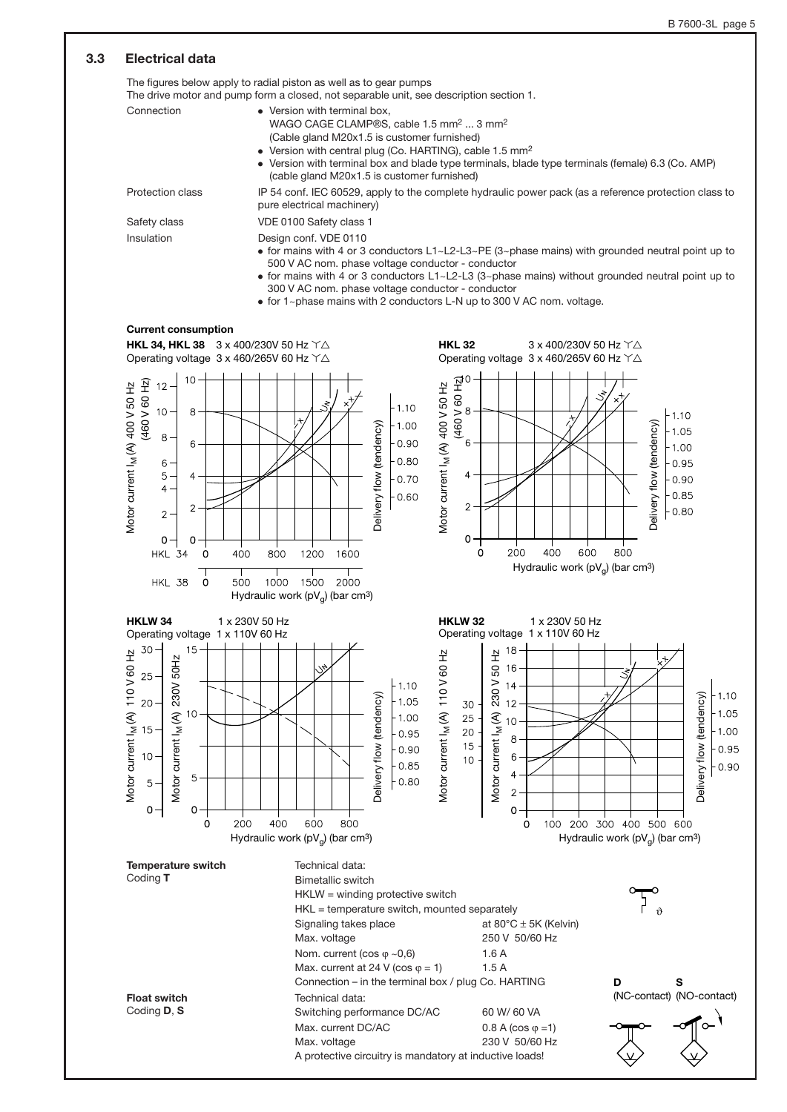#### **3.3 Electrical data** The figures below apply to radial piston as well as to gear pumps The drive motor and pump form a closed, not separable unit, see description section 1. Connection • Version with terminal box, WAGO CAGE CLAMP®S, cable 1.5 mm2 ... 3 mm2 (Cable gland M20x1.5 is customer furnished) • Version with central plug (Co. HARTING), cable 1.5 mm<sup>2</sup> ' Version with terminal box and blade type terminals, blade type terminals (female) 6.3 (Co. AMP) (cable gland M20x1.5 is customer furnished) Protection class IP 54 conf. IEC 60529, apply to the complete hydraulic power pack (as a reference protection class to pure electrical machinery) Safety class **VDE 0100 Safety class 1** Insulation Design conf. VDE 0110  $\bullet$  for mains with 4 or 3 conductors L1~L2-L3~PE (3~phase mains) with grounded neutral point up to 500 V AC nom. phase voltage conductor - conductor ' for mains with 4 or 3 conductors L1~L2-L3 (3~phase mains) without grounded neutral point up to 300 V AC nom. phase voltage conductor - conductor • for 1~phase mains with 2 conductors L-N up to 300 V AC nom. voltage. **Current consumption HKL 34, HKL 38**  $3 \times 400/230V$  50 Hz  $\gamma \triangle$ **HKL 32** 3 x 400/230V 50 Hz  $\text{Y}$  $\triangle$ Operating voltage  $3 \times 460/265$ V 60 Hz  $\gamma \triangle$ Operating voltage  $3 \times 460/265$ V 60 Hz  $\gamma \triangle$  $10$  $\widetilde{F}^0$ (460 V 60 Hz) (460 V 60 Hz) (460 V 60 Hz)  $12 \frac{1}{8}$  $1.10$  $10$ 8  $1.10$  $1.00$ (460  $1.05$  $\mathcal{B}$ 6

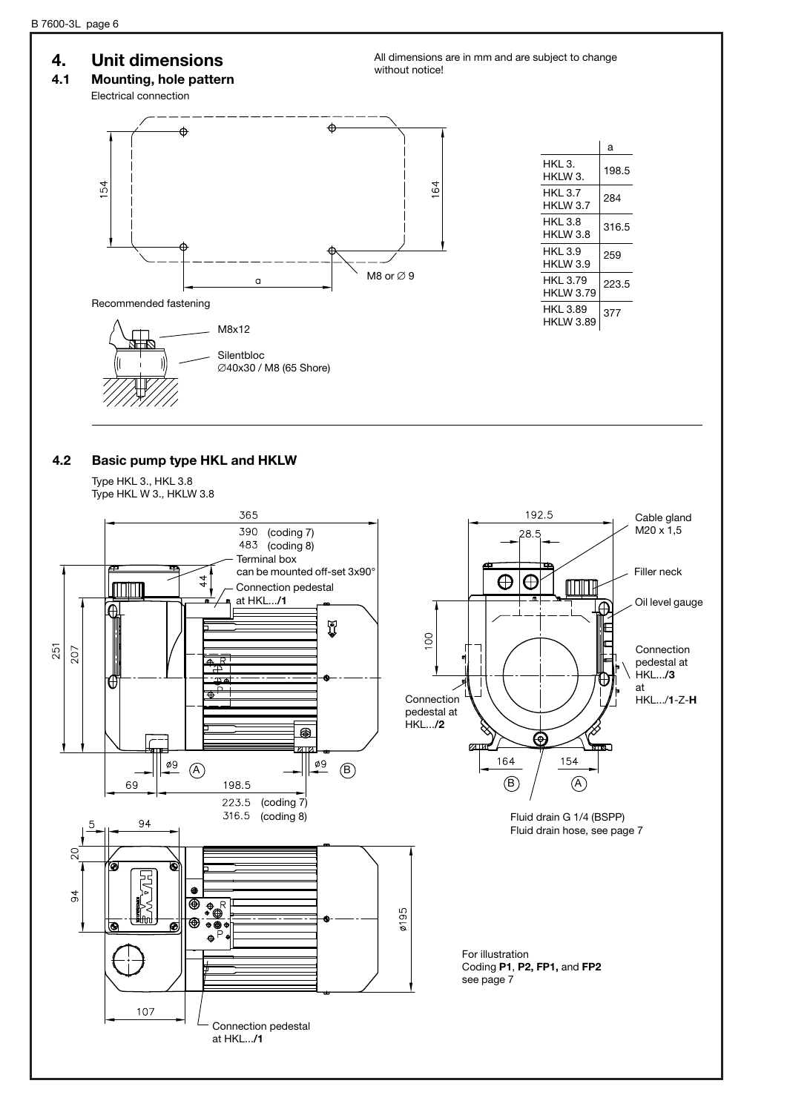

**4.2 Basic pump type HKL and HKLW** 

Type HKL 3., HKL 3.8 Type HKL W 3., HKLW 3.8

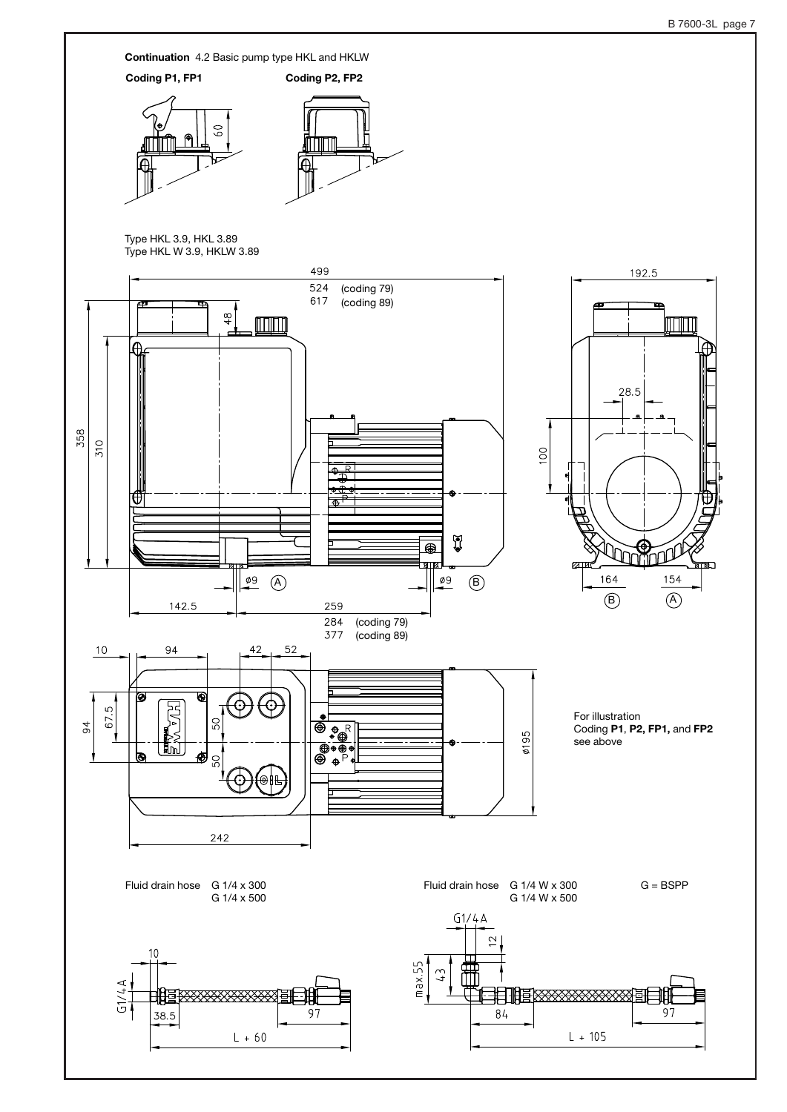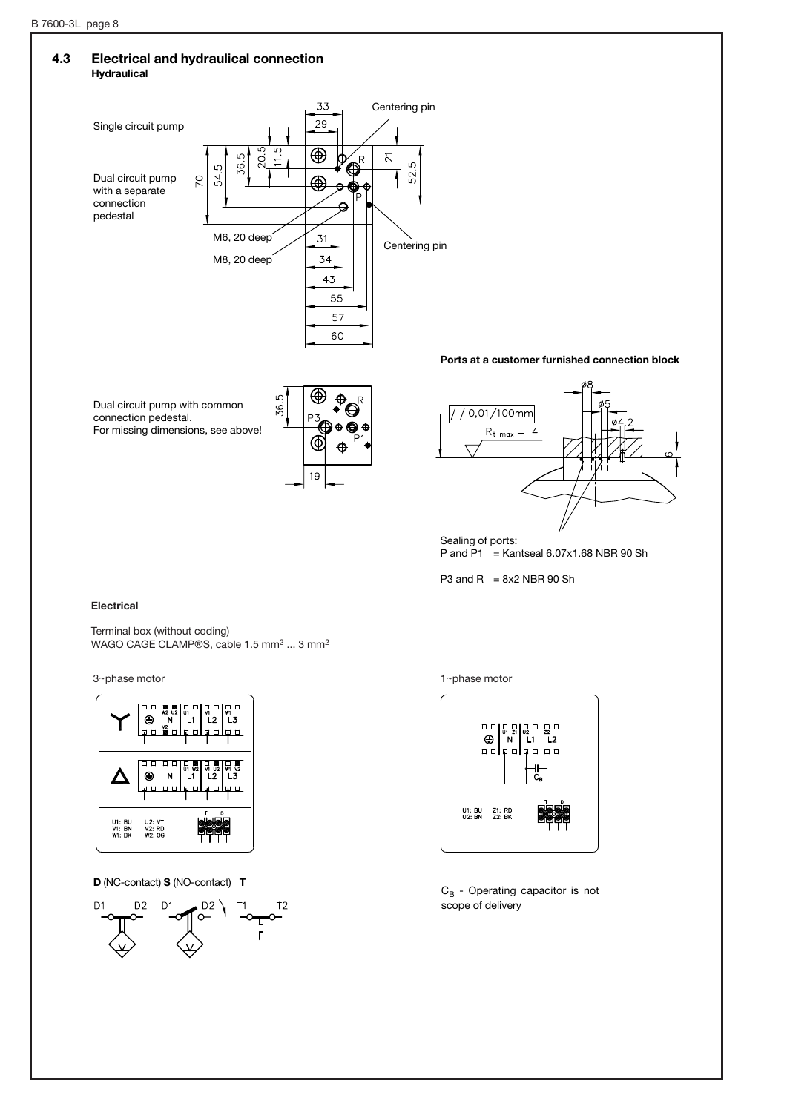



Dual circuit pump with common connection pedestal. For missing dimensions, see above!





Sealing of ports: P and  $\overline{P1}$  = Kantseal 6.07x1.68 NBR 90 Sh

P3 and R =  $8x2$  NBR 90 Sh

## **Electrical**

Terminal box (without coding) WAGO CAGE CLAMP®S, cable 1.5 mm2 ... 3 mm2



**D** (NC-contact) **S** (NO-contact) **T**



3~phase motor 1-phase motor



 $C_B$  - Operating capacitor is not scope of delivery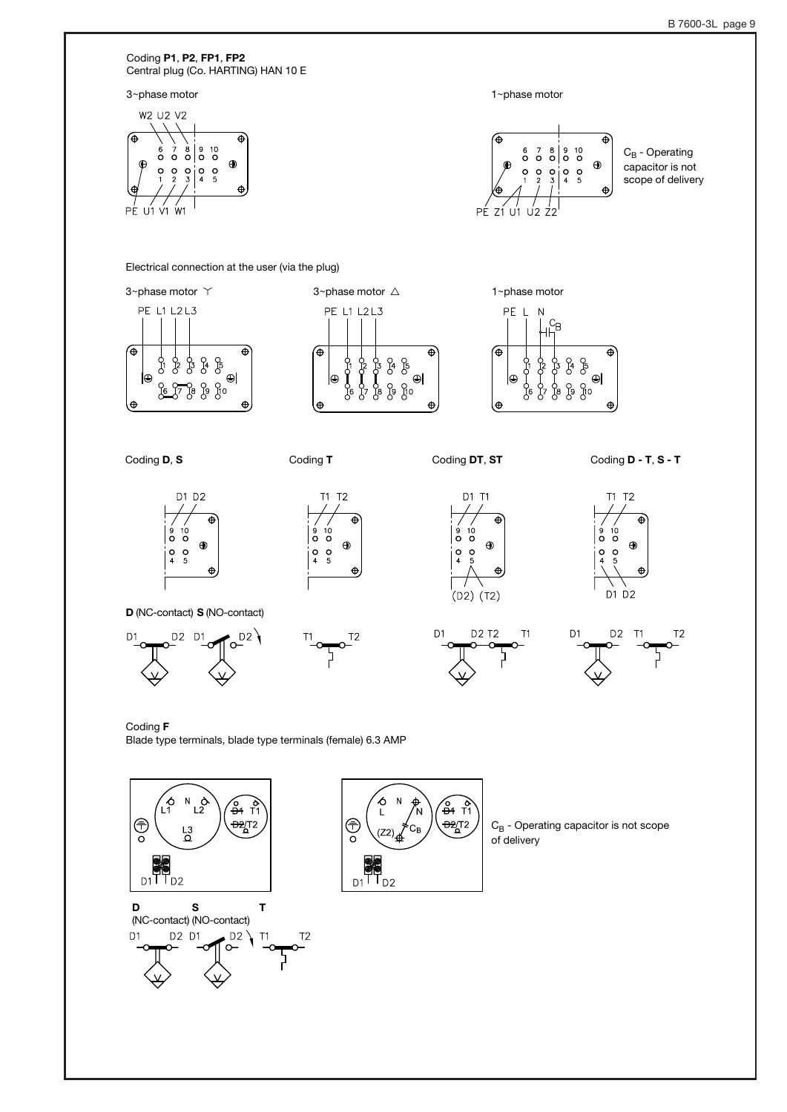Coding **P1**, **P2**, **FP1**, **FP2** Central plug (Co. HARTING) HAN 10 E 3~phase motor and the state of the state of the state of the 1+phase motor in the 1+phase motor W2 U2 V2  $\overline{\bullet}$  $678900$  $\delta$  $\vec{\circ}$  $\frac{8}{9}$  $\frac{9}{9}$   $\frac{10}{9}$  $C_B$  - Operating  $\oplus$  $\mathbf{C}$  $\bigoplus$ capacitor is not |<br>| 0<br>| 4  $\circ$  $\frac{0}{3}$  $\frac{1}{2}$  $\frac{0}{5}$  $\circ$  $\frac{0}{2}$  $\frac{0}{3}$  $\frac{0}{5}$ scope of delivery  $\hat{\mathbf{\Theta}}$ ¢ Þ PÉ TÍ1  $\sqrt{2}$   $\sqrt{2}$ -71 Electrical connection at the user (via the plug) 3~phase motor  $\gamma$  3~phase motor  $\triangle$  1~phase motor PE L1 L2 L3 **PE L1 L2 L3** PE L N  $C_B$ ⊕ ⋐  $\overline{\Phi}$ ଈ ē  $\frac{1}{6}$ န 0-0-0-0-0 OCOOCO ್ಹಾಯ್ಯಾಂ y  $\delta$ F J y.<br>P င်္ ⊜ا  $\triangle$ I⊕  $\bigoplus$ ∉  $\oplus$  $\int_{0}^{0}$ <u> ၇</u>၀ ၂၀ <u>96</u>  $\int_{0}^{0}$ ႙ၟႝၜ  $\hat{\mathbf{\Theta}}$  $\ddot{\Phi}$  $\oplus$  $\bigoplus$ ⊕ Coding **D**, **S** Coding **DT**, **ST** Coding **T** Coding **D - T**, **S - T** D1 D2 T1 T2 D1 T1 T1 T2 4  $\overline{a}$  $\overline{0}$  $\overline{0}$  $\frac{9}{0}$  $\frac{9}{\mathsf{O}}$  $\frac{9}{\mathsf{O}}$  $\frac{10}{\mathbf{O}}$  $\frac{9}{\mathsf{O}}$  $\oplus$  $\oplus$  $\ddot{\bm{\Theta}}$  $\frac{0}{4}$  $\frac{0}{5}$  $\frac{0}{4}$  $\frac{0}{5}$  $\frac{0}{4}$  $\frac{0}{5}$  $\frac{0}{5}$ Φ  $\ddot{\Phi}$  $(D2)$  (T2) D1 D2 **D** (NC-contact) **S** (NO-contact) $C^{D2}$ D2 T1 D1 D2 T2  $T1$ D1  $T<sub>2</sub>$ D2 D1  $T<sub>2</sub>$ D<sub>1</sub>

Coding **F** Blade type terminals, blade type terminals (female) 6.3 AMP



**DS T** (NC-contact) (NO-contact)  $D2 \setminus T1$  $D<sub>1</sub>$ D<sub>2</sub> D<sub>1</sub>  $T<sub>2</sub>$ 



 $C_B$  - Operating capacitor is not scope of delivery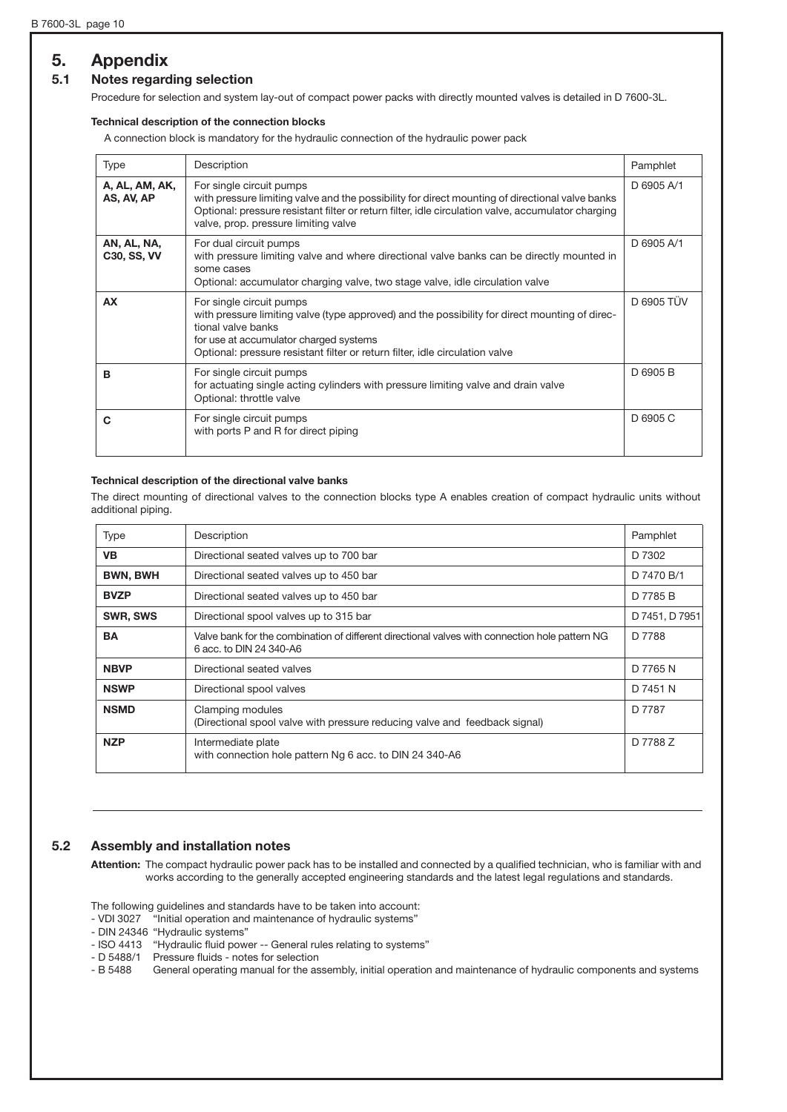# **5. Appendix**

# **5.1 Notes regarding selection**

Procedure for selection and system lay-out of compact power packs with directly mounted valves is detailed in D 7600-3L.

## **Technical description of the connection blocks**

A connection block is mandatory for the hydraulic connection of the hydraulic power pack

| <b>Type</b>                  | Description                                                                                                                                                                                                                                                                | Pamphlet   |
|------------------------------|----------------------------------------------------------------------------------------------------------------------------------------------------------------------------------------------------------------------------------------------------------------------------|------------|
| A, AL, AM, AK,<br>AS, AV, AP | For single circuit pumps<br>with pressure limiting valve and the possibility for direct mounting of directional valve banks<br>Optional: pressure resistant filter or return filter, idle circulation valve, accumulator charging<br>valve, prop. pressure limiting valve  | D 6905 A/1 |
| AN, AL, NA,<br>C30, SS, VV   | For dual circuit pumps<br>with pressure limiting valve and where directional valve banks can be directly mounted in<br>some cases<br>Optional: accumulator charging valve, two stage valve, idle circulation valve                                                         | D 6905 A/1 |
| <b>AX</b>                    | For single circuit pumps<br>with pressure limiting valve (type approved) and the possibility for direct mounting of direc-<br>tional valve banks<br>for use at accumulator charged systems<br>Optional: pressure resistant filter or return filter, idle circulation valve | D 6905 TÜV |
| B                            | For single circuit pumps<br>for actuating single acting cylinders with pressure limiting valve and drain valve<br>Optional: throttle valve                                                                                                                                 | D 6905 B   |
| C                            | For single circuit pumps<br>with ports P and R for direct piping                                                                                                                                                                                                           | D 6905 C   |

## **Technical description of the directional valve banks**

The direct mounting of directional valves to the connection blocks type A enables creation of compact hydraulic units without additional piping.

| <b>Type</b>     | Description                                                                                                               | Pamphlet       |
|-----------------|---------------------------------------------------------------------------------------------------------------------------|----------------|
| <b>VB</b>       | Directional seated valves up to 700 bar                                                                                   | D 7302         |
| <b>BWN, BWH</b> | Directional seated valves up to 450 bar                                                                                   | D 7470 B/1     |
| <b>BVZP</b>     | Directional seated valves up to 450 bar                                                                                   | D 7785 B       |
| <b>SWR, SWS</b> | Directional spool valves up to 315 bar                                                                                    | D 7451, D 7951 |
| <b>BA</b>       | Valve bank for the combination of different directional valves with connection hole pattern NG<br>6 acc. to DIN 24 340-A6 | D 7788         |
| <b>NBVP</b>     | Directional seated valves                                                                                                 | D 7765 N       |
| <b>NSWP</b>     | Directional spool valves                                                                                                  | D 7451 N       |
| <b>NSMD</b>     | Clamping modules<br>(Directional spool valve with pressure reducing valve and feedback signal)                            | D 7787         |
| <b>NZP</b>      | Intermediate plate<br>with connection hole pattern Ng 6 acc. to DIN 24 340-A6                                             | D 7788 Z       |

# **5.2 Assembly and installation notes**

**Attention:** The compact hydraulic power pack has to be installed and connected by a qualified technician, who is familiar with and works according to the generally accepted engineering standards and the latest legal regulations and standards.

The following guidelines and standards have to be taken into account:<br>- VDI 3027 "Initial operation and maintenance of hydraulic systems"

- "Initial operation and maintenance of hydraulic systems"
- DIN 24346 "Hydraulic systems"
- ISO 4413 "Hydraulic fluid power -- General rules relating to systems"
- D 5488/1 Pressure fluids notes for selection

- B 5488 General operating manual for the assembly, initial operation and maintenance of hydraulic components and systems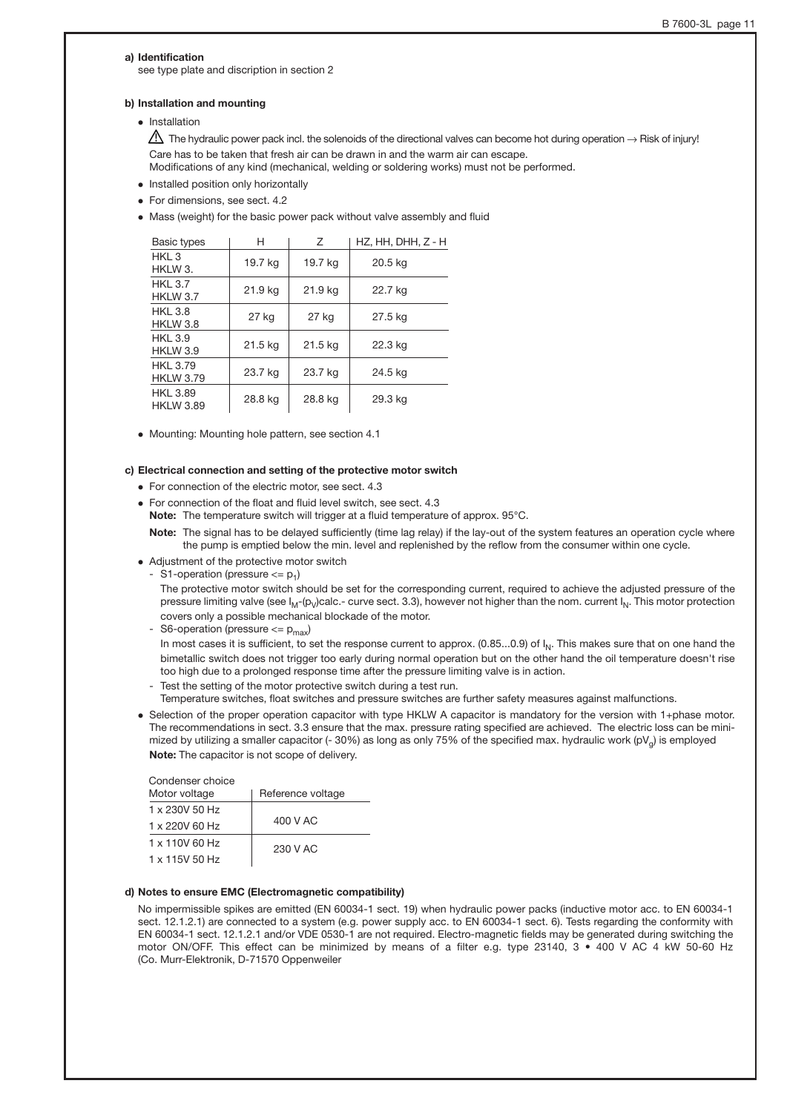#### **a) Identification**

see type plate and discription in section 2

#### **b) Installation and mounting**

• Installation

The hydraulic power pack incl. the solenoids of the directional valves can become hot during operation  $\to$  Risk of injury! Care has to be taken that fresh air can be drawn in and the warm air can escape.

Modifications of any kind (mechanical, welding or soldering works) must not be performed.

- **•** Installed position only horizontally
- ' For dimensions, see sect. 4.2
- ' Mass (weight) for the basic power pack without valve assembly and fluid

| Basic types                         | н       | Ζ       | HZ, HH, DHH, Z - H |
|-------------------------------------|---------|---------|--------------------|
| HKL <sub>3</sub><br>HKLW 3.         | 19.7 kg | 19.7 kg | 20.5 kg            |
| <b>HKL 3.7</b><br>HKLW 3.7          | 21.9 kg | 21.9 kg | 22.7 kg            |
| <b>HKL 3.8</b><br>HKLW 3.8          | 27 kg   | 27 kg   | 27.5 kg            |
| <b>HKI 3.9</b><br>HKLW 3.9          | 21.5 kg | 21.5 kg | 22.3 kg            |
| <b>HKL 3.79</b><br><b>HKLW 3.79</b> | 23.7 kg | 23.7 kg | 24.5 kg            |
| <b>HKL 3.89</b><br><b>HKLW 3.89</b> | 28.8 kg | 28.8 kg | 29.3 kg            |

' Mounting: Mounting hole pattern, see section 4.1

## **c) Electrical connection and setting of the protective motor switch**

- ' For connection of the electric motor, see sect. 4.3
- ' For connection of the float and fluid level switch, see sect. 4.3
- **Note:** The temperature switch will trigger at a fluid temperature of approx. 95°C.
- **Note:** The signal has to be delayed sufficiently (time lag relay) if the lay-out of the system features an operation cycle where the pump is emptied below the min. level and replenished by the reflow from the consumer within one cycle.
- ' Adjustment of the protective motor switch
- S1-operation (pressure  $\leq$   $p_1$ )

The protective motor switch should be set for the corresponding current, required to achieve the adjusted pressure of the pressure limiting valve (see  $I_M$ -(p<sub>V</sub>)calc.- curve sect. 3.3), however not higher than the nom. current  $I_N$ . This motor protection covers only a possible mechanical blockade of the motor.

- S6-operation (pressure  $\leq$   $p_{\text{max}}$ )

In most cases it is sufficient, to set the response current to approx.  $(0.85...0.9)$  of  $I_N$ . This makes sure that on one hand the bimetallic switch does not trigger too early during normal operation but on the other hand the oil temperature doesn't rise too high due to a prolonged response time after the pressure limiting valve is in action.

Test the setting of the motor protective switch during a test run.

Temperature switches, float switches and pressure switches are further safety measures against malfunctions.

' Selection of the proper operation capacitor with type HKLW A capacitor is mandatory for the version with 1+phase motor. The recommendations in sect. 3.3 ensure that the max. pressure rating specified are achieved. The electric loss can be minimized by utilizing a smaller capacitor (-30%) as long as only 75% of the specified max. hydraulic work (pV<sub>a</sub>) is employed **Note:** The capacitor is not scope of delivery.

| Condenser choice<br>Motor voltage | Reference voltage |  |  |
|-----------------------------------|-------------------|--|--|
|                                   |                   |  |  |
| 1 x 230V 50 Hz                    |                   |  |  |
| 1 x 220V 60 Hz                    | 400 V AC          |  |  |
| 1 x 110V 60 Hz                    | 230 V AC          |  |  |
| 1 x 115V 50 Hz                    |                   |  |  |

### **d) Notes to ensure EMC (Electromagnetic compatibility)**

No impermissible spikes are emitted (EN 60034-1 sect. 19) when hydraulic power packs (inductive motor acc. to EN 60034-1 sect. 12.1.2.1) are connected to a system (e.g. power supply acc. to EN 60034-1 sect. 6). Tests regarding the conformity with EN 60034-1 sect. 12.1.2.1 and/or VDE 0530-1 are not required. Electro-magnetic fields may be generated during switching the motor ON/OFF. This effect can be minimized by means of a filter e.g. type 23140, 3 • 400 V AC 4 kW 50-60 Hz (Co. Murr-Elektronik, D-71570 Oppenweiler